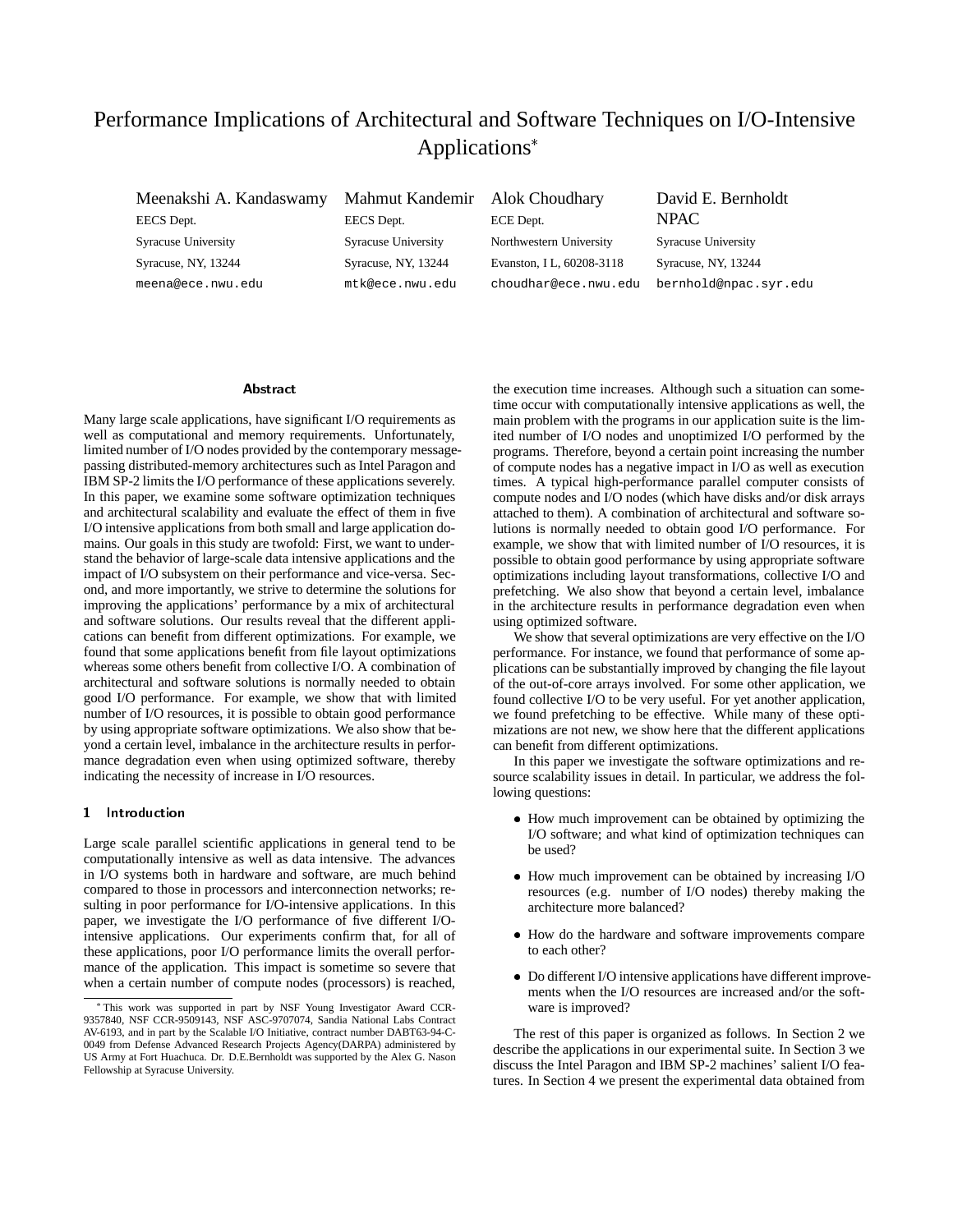# Performance Implications of Architectural and Software Techniques on I/O-Intensive Applications

EECS Dept. EECS Dept. ECE Dept. NPAC Syracuse University Syracuse University Northwestern University Syracuse University Syracuse, NY, 13244 Syracuse, NY, 13244 Evanston, I L, 60208-3118 Syracuse, NY, 13244

Meenakshi A. Kandaswamy Mahmut Kandemir Alok Choudhary David E. Bernholdt meena@ece.nwu.edu mtk@ece.nwu.edu choudhar@ece.nwu.edu bernhold@npac.syr.edu

# Abstract

Many large scale applications, have significant I/O requirements as well as computational and memory requirements. Unfortunately, limited number of I/O nodes provided by the contemporary messagepassing distributed-memory architectures such as Intel Paragon and IBM SP-2 limits the I/O performance of these applications severely. In this paper, we examine some software optimization techniques and architectural scalability and evaluate the effect of them in five I/O intensive applications from both small and large application domains. Our goals in this study are twofold: First, we want to understand the behavior of large-scale data intensive applications and the impact of I/O subsystem on their performance and vice-versa. Second, and more importantly, we strive to determine the solutions for improving the applications' performance by a mix of architectural and software solutions. Our results reveal that the different applications can benefit from different optimizations. For example, we found that some applications benefit from file layout optimizations whereas some others benefit from collective I/O. A combination of architectural and software solutions is normally needed to obtain good I/O performance. For example, we show that with limited number of I/O resources, it is possible to obtain good performance by using appropriate software optimizations. We also show that beyond a certain level, imbalance in the architecture results in performance degradation even when using optimized software, thereby indicating the necessity of increase in I/O resources.

# 1 Introduction

Large scale parallel scientific applications in general tend to be computationally intensive as well as data intensive. The advances in I/O systems both in hardware and software, are much behind compared to those in processors and interconnection networks; resulting in poor performance for I/O-intensive applications. In this paper, we investigate the I/O performance of five different I/Ointensive applications. Our experiments confirm that, for all of these applications, poor I/O performance limits the overall performance of the application. This impact is sometime so severe that when a certain number of compute nodes (processors) is reached, the execution time increases. Although such a situation can sometime occur with computationally intensive applications as well, the main problem with the programs in our application suite is the limited number of I/O nodes and unoptimized I/O performed by the programs. Therefore, beyond a certain point increasing the number of compute nodes has a negative impact in I/O as well as execution times. A typical high-performance parallel computer consists of compute nodes and I/O nodes (which have disks and/or disk arrays attached to them). A combination of architectural and software solutions is normally needed to obtain good I/O performance. For example, we show that with limited number of I/O resources, it is possible to obtain good performance by using appropriate software optimizations including layout transformations, collective I/O and prefetching. We also show that beyond a certain level, imbalance in the architecture results in performance degradation even when using optimized software.

We show that several optimizations are very effective on the I/O performance. For instance, we found that performance of some applications can be substantially improved by changing the file layout of the out-of-core arrays involved. For some other application, we found collective I/O to be very useful. For yet another application, we found prefetching to be effective. While many of these optimizations are not new, we show here that the different applications can benefit from different optimizations.

In this paper we investigate the software optimizations and resource scalability issues in detail. In particular, we address the following questions:

- How much improvement can be obtained by optimizing the I/O software; and what kind of optimization techniques can be used?
- How much improvement can be obtained by increasing I/O resources (e.g. number of I/O nodes) thereby making the architecture more balanced?
- How do the hardware and software improvements compare to each other?
- Do different I/O intensive applications have different improvements when the I/O resources are increased and/or the software is improved?

The rest of this paper is organized as follows. In Section 2 we describe the applications in our experimental suite. In Section 3 we discuss the Intel Paragon and IBM SP-2 machines' salient I/O features. In Section 4 we present the experimental data obtained from

This work was supported in part by NSF Young Investigator Award CCR-9357840, NSF CCR-9509143, NSF ASC-9707074, Sandia National Labs Contract AV-6193, and in part by the Scalable I/O Initiative, contract number DABT63-94-C-0049 from Defense Advanced Research Projects Agency(DARPA) administered by US Army at Fort Huachuca. Dr. D.E.Bernholdt was supported by the Alex G. Nason Fellowship at Syracuse University.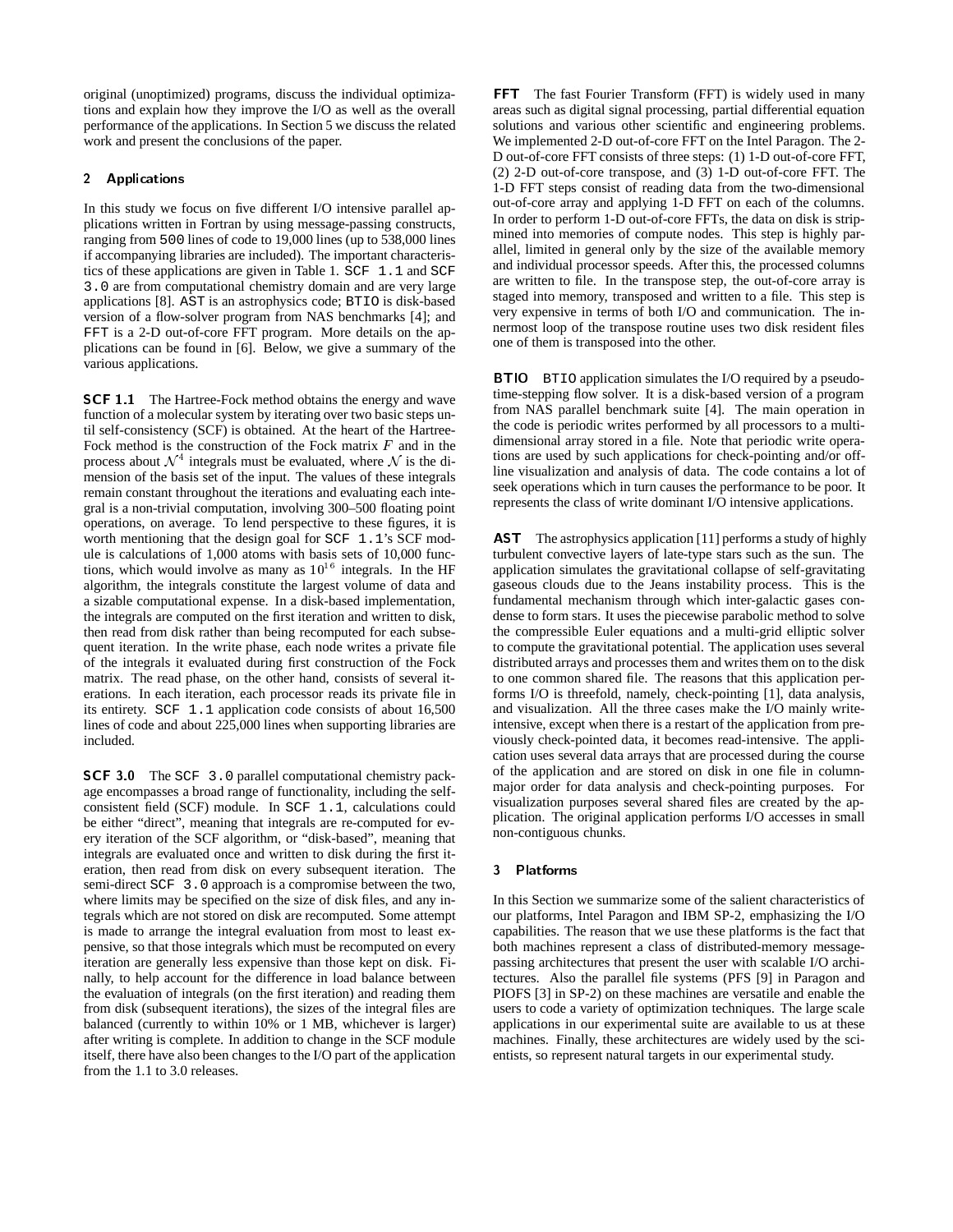original (unoptimized) programs, discuss the individual optimizations and explain how they improve the I/O as well as the overall performance of the applications. In Section 5 we discuss the related work and present the conclusions of the paper.

#### $2^{\circ}$ **Applications**

In this study we focus on five different I/O intensive parallel applications written in Fortran by using message-passing constructs, ranging from 500 lines of code to 19,000 lines (up to 538,000 lines if accompanying libraries are included). The important characteristics of these applications are given in Table 1. SCF 1.1 and SCF 3.0 are from computational chemistry domain and are very large applications [8]. AST is an astrophysics code; BTIO is disk-based version of a flow-solver program from NAS benchmarks [4]; and FFT is a 2-D out-of-core FFT program. More details on the applications can be found in [6]. Below, we give a summary of the various applications.

**SCF 1.1** The Hartree-Fock method obtains the energy and wave function of a molecular system by iterating over two basic steps until self-consistency (SCF) is obtained. At the heart of the Hartree-Fock method is the construction of the Fock matrix  $F$  and in the process about  $\mathcal{N}^4$  integrals must be evaluated, where  $\mathcal N$  is the dimension of the basis set of the input. The values of these integrals remain constant throughout the iterations and evaluating each integral is a non-trivial computation, involving 300–500 floating point operations, on average. To lend perspective to these figures, it is worth mentioning that the design goal for SCF 1.1's SCF module is calculations of 1,000 atoms with basis sets of 10,000 functions, which would involve as many as  $10^{16}$  integrals. In the HF algorithm, the integrals constitute the largest volume of data and a sizable computational expense. In a disk-based implementation, the integrals are computed on the first iteration and written to disk, then read from disk rather than being recomputed for each subsequent iteration. In the write phase, each node writes a private file of the integrals it evaluated during first construction of the Fock matrix. The read phase, on the other hand, consists of several iterations. In each iteration, each processor reads its private file in its entirety. SCF 1.1 application code consists of about 16,500 lines of code and about 225,000 lines when supporting libraries are included.

SCF 3.0 The SCF 3.0 parallel computational chemistry package encompasses a broad range of functionality, including the selfconsistent field (SCF) module. In SCF 1.1, calculations could be either "direct", meaning that integrals are re-computed for every iteration of the SCF algorithm, or "disk-based", meaning that integrals are evaluated once and written to disk during the first iteration, then read from disk on every subsequent iteration. The semi-direct SCF 3.0 approach is a compromise between the two, where limits may be specified on the size of disk files, and any integrals which are not stored on disk are recomputed. Some attempt is made to arrange the integral evaluation from most to least expensive, so that those integrals which must be recomputed on every iteration are generally less expensive than those kept on disk. Finally, to help account for the difference in load balance between the evaluation of integrals (on the first iteration) and reading them from disk (subsequent iterations), the sizes of the integral files are balanced (currently to within 10% or 1 MB, whichever is larger) after writing is complete. In addition to change in the SCF module itself, there have also been changes to the I/O part of the application from the 1.1 to 3.0 releases.

FFT The fast Fourier Transform (FFT) is widely used in many areas such as digital signal processing, partial differential equation solutions and various other scientific and engineering problems. We implemented 2-D out-of-core FFT on the Intel Paragon. The 2- D out-of-core FFT consists of three steps: (1) 1-D out-of-core FFT, (2) 2-D out-of-core transpose, and (3) 1-D out-of-core FFT. The 1-D FFT steps consist of reading data from the two-dimensional out-of-core array and applying 1-D FFT on each of the columns. In order to perform 1-D out-of-core FFTs, the data on disk is stripmined into memories of compute nodes. This step is highly parallel, limited in general only by the size of the available memory and individual processor speeds. After this, the processed columns are written to file. In the transpose step, the out-of-core array is staged into memory, transposed and written to a file. This step is very expensive in terms of both I/O and communication. The innermost loop of the transpose routine uses two disk resident files one of them is transposed into the other.

**BTIO** BTIO application simulates the I/O required by a pseudotime-stepping flow solver. It is a disk-based version of a program from NAS parallel benchmark suite [4]. The main operation in the code is periodic writes performed by all processors to a multidimensional array stored in a file. Note that periodic write operations are used by such applications for check-pointing and/or offline visualization and analysis of data. The code contains a lot of seek operations which in turn causes the performance to be poor. It represents the class of write dominant I/O intensive applications.

AST The astrophysics application [11] performs a study of highly turbulent convective layers of late-type stars such as the sun. The application simulates the gravitational collapse of self-gravitating gaseous clouds due to the Jeans instability process. This is the fundamental mechanism through which inter-galactic gases condense to form stars. It uses the piecewise parabolic method to solve the compressible Euler equations and a multi-grid elliptic solver to compute the gravitational potential. The application uses several distributed arrays and processes them and writes them on to the disk to one common shared file. The reasons that this application performs I/O is threefold, namely, check-pointing [1], data analysis, and visualization. All the three cases make the I/O mainly writeintensive, except when there is a restart of the application from previously check-pointed data, it becomes read-intensive. The application uses several data arrays that are processed during the course of the application and are stored on disk in one file in columnmajor order for data analysis and check-pointing purposes. For visualization purposes several shared files are created by the application. The original application performs I/O accesses in small non-contiguous chunks.

#### $\overline{\mathbf{3}}$ **Platforms**

In this Section we summarize some of the salient characteristics of our platforms, Intel Paragon and IBM SP-2, emphasizing the I/O capabilities. The reason that we use these platforms is the fact that both machines represent a class of distributed-memory messagepassing architectures that present the user with scalable I/O architectures. Also the parallel file systems (PFS [9] in Paragon and PIOFS [3] in SP-2) on these machines are versatile and enable the users to code a variety of optimization techniques. The large scale applications in our experimental suite are available to us at these machines. Finally, these architectures are widely used by the scientists, so represent natural targets in our experimental study.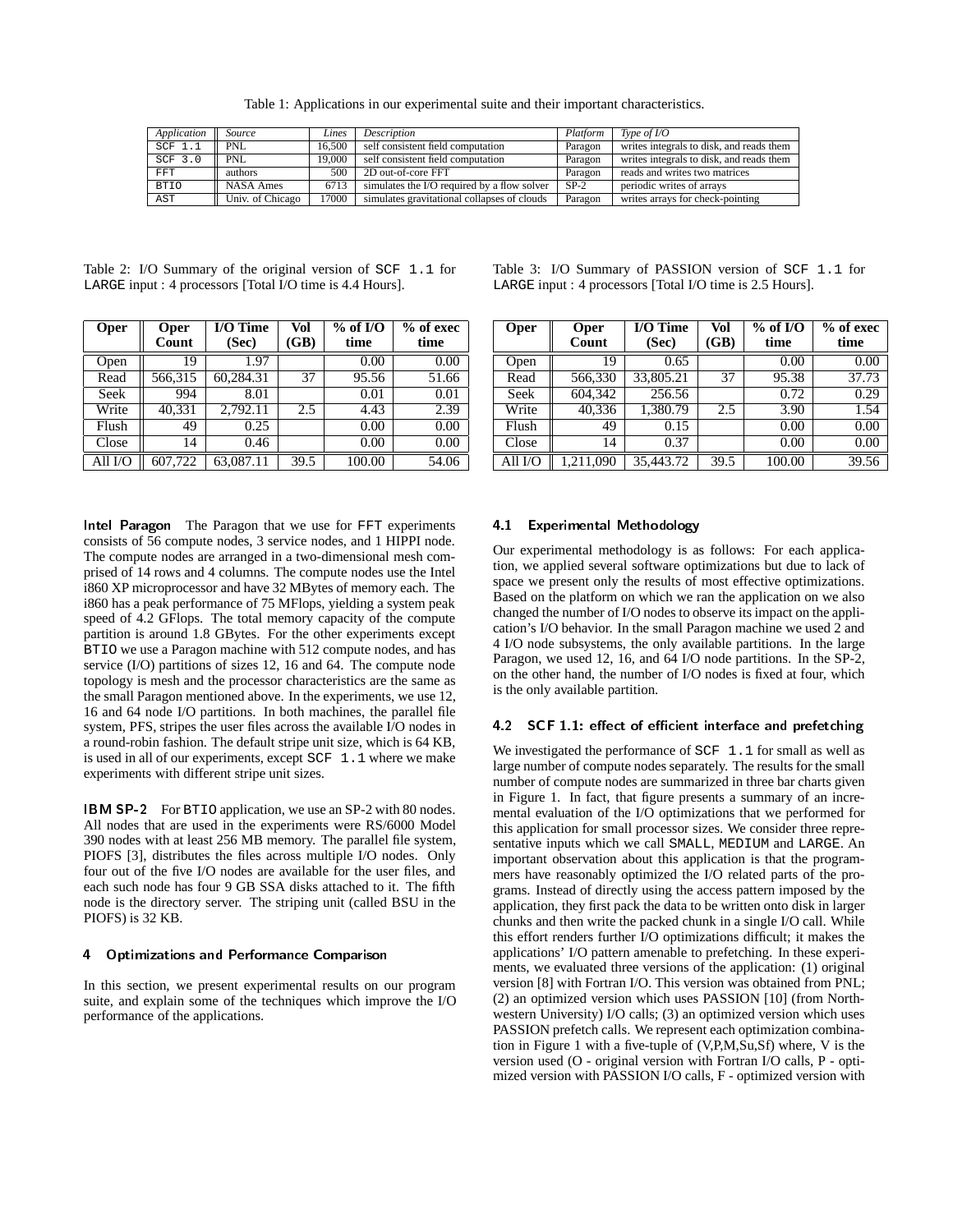Table 1: Applications in our experimental suite and their important characteristics.

| Application        | Source           | Lines  | <b>Description</b>                          | Platform | Type of $IO$                             |
|--------------------|------------------|--------|---------------------------------------------|----------|------------------------------------------|
| SCF 1.1            | PNL              | 16.500 | self consistent field computation           | Paragon  | writes integrals to disk, and reads them |
| SCF <sub>3.0</sub> | PNL              | 19,000 | self consistent field computation           | Paragon  | writes integrals to disk, and reads them |
| <b>FFT</b>         | authors          | 500    | 2D out-of-core FFT                          | Paragon  | reads and writes two matrices            |
| <b>BTIO</b>        | <b>NASA</b> Ames | 6713   | simulates the I/O required by a flow solver | $SP-2$   | periodic writes of arrays                |
| AST                | Univ. of Chicago | 17000  | simulates gravitational collapses of clouds | Paragon  | writes arrays for check-pointing         |

Table 2: I/O Summary of the original version of SCF 1.1 for LARGE input : 4 processors [Total I/O time is 4.4 Hours].

| <b>Oper</b> | <b>Oper</b> | <b>I/O Time</b> | Vol  | % of I/O | $%$ of exec |
|-------------|-------------|-----------------|------|----------|-------------|
|             | Count       | (Sec)           | (GB) | time     | time        |
| Open        | 19          | 1.97            |      | 0.00     | 0.00        |
| Read        | 566,315     | 60,284.31       | 37   | 95.56    | 51.66       |
| Seek        | 994         | 8.01            |      | 0.01     | 0.01        |
| Write       | 40,331      | 2,792.11        | 2.5  | 4.43     | 2.39        |
| Flush       | 49          | 0.25            |      | 0.00     | 0.00        |
| Close       | 14          | 0.46            |      | 0.00     | 0.00        |
| All I/O     | 607,722     | 63,087.11       | 39.5 | 100.00   | 54.06       |

Table 3: I/O Summary of PASSION version of SCF 1.1 for LARGE input : 4 processors [Total I/O time is 2.5 Hours].

| <b>Oper</b> | <b>Oper</b> | <b>I/O Time</b> | Vol  | $%$ of I/O | $%$ of exec |
|-------------|-------------|-----------------|------|------------|-------------|
|             | Count       | (Sec)           | (GB) | time       | time        |
| Open        | 19          | 0.65            |      | 0.00       | 0.00        |
| Read        | 566,330     | 33,805.21       | 37   | 95.38      | 37.73       |
| Seek        | 604,342     | 256.56          |      | 0.72       | 0.29        |
| Write       | 40,336      | 1,380.79        | 2.5  | 3.90       | 1.54        |
| Flush       | 49          | 0.15            |      | 0.00       | 0.00        |
| Close       | 14          | 0.37            |      | 0.00       | 0.00        |
| All I/O     | ,211,090    | 35,443.72       | 39.5 | 100.00     | 39.56       |

Intel Paragon The Paragon that we use for FFT experiments consists of 56 compute nodes, 3 service nodes, and 1 HIPPI node. The compute nodes are arranged in a two-dimensional mesh comprised of 14 rows and 4 columns. The compute nodes use the Intel i860 XP microprocessor and have 32 MBytes of memory each. The i860 has a peak performance of 75 MFlops, yielding a system peak speed of 4.2 GFlops. The total memory capacity of the compute partition is around 1.8 GBytes. For the other experiments except BTIO we use a Paragon machine with 512 compute nodes, and has service (I/O) partitions of sizes 12, 16 and 64. The compute node topology is mesh and the processor characteristics are the same as the small Paragon mentioned above. In the experiments, we use 12, 16 and 64 node I/O partitions. In both machines, the parallel file system, PFS, stripes the user files across the available I/O nodes in a round-robin fashion. The default stripe unit size, which is 64 KB, is used in all of our experiments, except SCF 1.1 where we make experiments with different stripe unit sizes.

IBM SP-2 For BTIO application, we use an SP-2 with 80 nodes. All nodes that are used in the experiments were RS/6000 Model 390 nodes with at least 256 MB memory. The parallel file system, PIOFS [3], distributes the files across multiple I/O nodes. Only four out of the five I/O nodes are available for the user files, and each such node has four 9 GB SSA disks attached to it. The fifth node is the directory server. The striping unit (called BSU in the PIOFS) is 32 KB.

#### 4 Optimizations and Performance Comparison

In this section, we present experimental results on our program suite, and explain some of the techniques which improve the I/O performance of the applications.

# 4.1 Experimental Methodology

Our experimental methodology is as follows: For each application, we applied several software optimizations but due to lack of space we present only the results of most effective optimizations. Based on the platform on which we ran the application on we also changed the number of I/O nodes to observe its impact on the application's I/O behavior. In the small Paragon machine we used 2 and 4 I/O node subsystems, the only available partitions. In the large Paragon, we used 12, 16, and 64 I/O node partitions. In the SP-2, on the other hand, the number of I/O nodes is fixed at four, which is the only available partition.

### 4.2 SCF 1.1: effect of efficient interface and prefetching

We investigated the performance of SCF 1.1 for small as well as large number of compute nodes separately. The results for the small number of compute nodes are summarized in three bar charts given in Figure 1. In fact, that figure presents a summary of an incremental evaluation of the I/O optimizations that we performed for this application for small processor sizes. We consider three representative inputs which we call SMALL, MEDIUM and LARGE. An important observation about this application is that the programmers have reasonably optimized the I/O related parts of the programs. Instead of directly using the access pattern imposed by the application, they first pack the data to be written onto disk in larger chunks and then write the packed chunk in a single I/O call. While this effort renders further I/O optimizations difficult; it makes the applications' I/O pattern amenable to prefetching. In these experiments, we evaluated three versions of the application: (1) original version [8] with Fortran I/O. This version was obtained from PNL; (2) an optimized version which uses PASSION [10] (from Northwestern University) I/O calls; (3) an optimized version which uses PASSION prefetch calls. We represent each optimization combination in Figure 1 with a five-tuple of (V,P,M,Su,Sf) where, V is the version used (O - original version with Fortran I/O calls, P - optimized version with PASSION I/O calls, F - optimized version with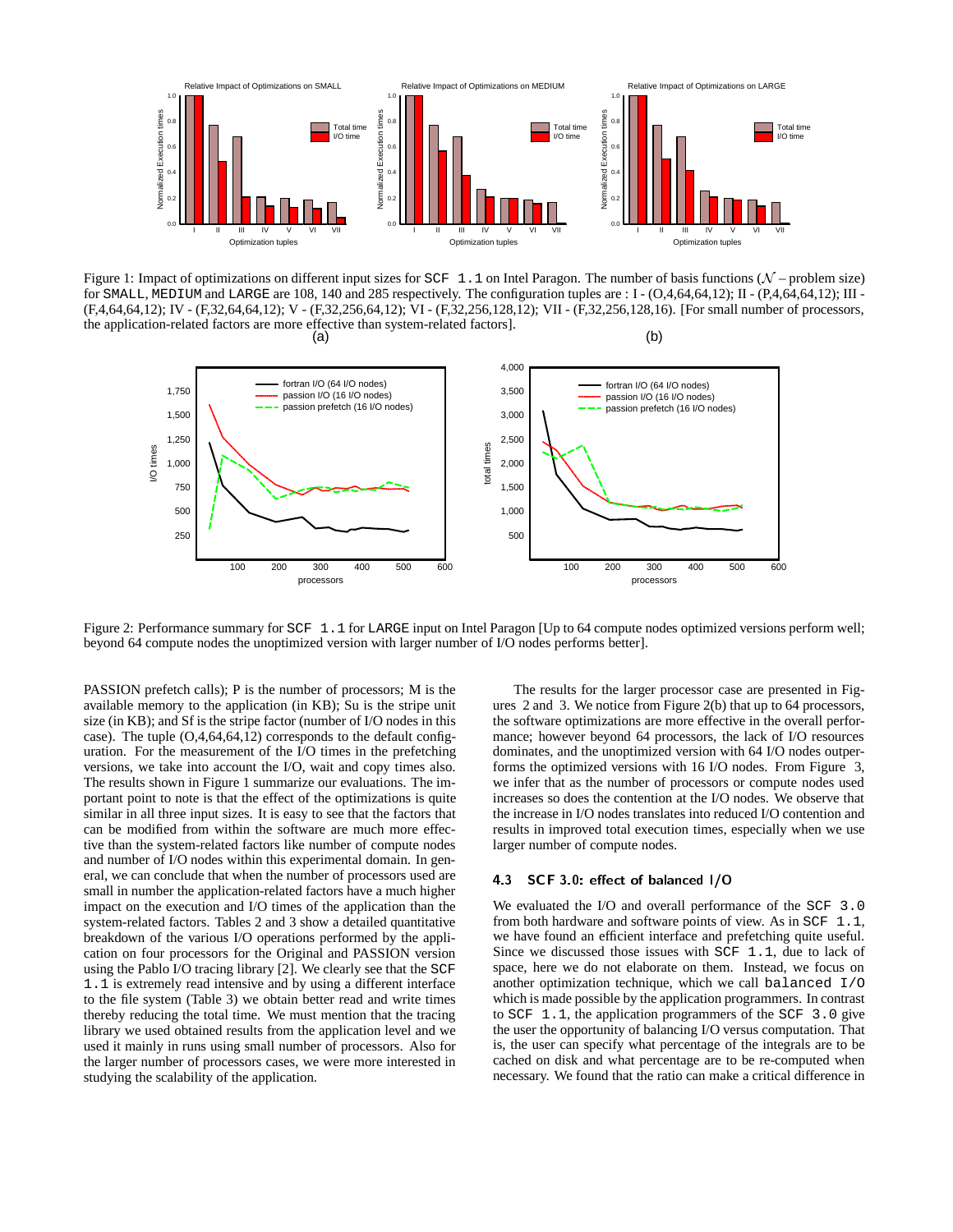

Figure 1: Impact of optimizations on different input sizes for SCF 1.1 on Intel Paragon. The number of basis functions ( $N$  – problem size) for SMALL, MEDIUM and LARGE are 108, 140 and 285 respectively. The configuration tuples are : I -  $(O, 4, 64, 64, 12)$ ; II -  $(P, 4, 64, 64, 12)$ ; III -(F,4,64,64,12); IV - (F,32,64,64,12); V - (F,32,256,64,12); VI - (F,32,256,128,12); VII - (F,32,256,128,16). [For small number of processors, the application-related factors are more effective than system-related factors]. (a) (b)



Figure 2: Performance summary for SCF 1.1 for LARGE input on Intel Paragon [Up to 64 compute nodes optimized versions perform well; beyond 64 compute nodes the unoptimized version with larger number of I/O nodes performs better].

PASSION prefetch calls); P is the number of processors; M is the available memory to the application (in KB); Su is the stripe unit size (in KB); and Sf is the stripe factor (number of I/O nodes in this case). The tuple (O,4,64,64,12) corresponds to the default configuration. For the measurement of the I/O times in the prefetching versions, we take into account the I/O, wait and copy times also. The results shown in Figure 1 summarize our evaluations. The important point to note is that the effect of the optimizations is quite similar in all three input sizes. It is easy to see that the factors that can be modified from within the software are much more effective than the system-related factors like number of compute nodes and number of I/O nodes within this experimental domain. In general, we can conclude that when the number of processors used are small in number the application-related factors have a much higher impact on the execution and I/O times of the application than the system-related factors. Tables 2 and 3 show a detailed quantitative breakdown of the various I/O operations performed by the application on four processors for the Original and PASSION version using the Pablo I/O tracing library [2]. We clearly see that the SCF 1.1 is extremely read intensive and by using a different interface to the file system (Table 3) we obtain better read and write times thereby reducing the total time. We must mention that the tracing library we used obtained results from the application level and we used it mainly in runs using small number of processors. Also for the larger number of processors cases, we were more interested in studying the scalability of the application.

The results for the larger processor case are presented in Figures 2 and 3. We notice from Figure 2(b) that up to 64 processors, the software optimizations are more effective in the overall performance; however beyond 64 processors, the lack of I/O resources dominates, and the unoptimized version with 64 I/O nodes outperforms the optimized versions with 16 I/O nodes. From Figure 3, we infer that as the number of processors or compute nodes used increases so does the contention at the I/O nodes. We observe that the increase in I/O nodes translates into reduced I/O contention and results in improved total execution times, especially when we use larger number of compute nodes.

# 4.3 SCF 3.0: effect of balanced I/O

We evaluated the I/O and overall performance of the SCF 3.0 from both hardware and software points of view. As in SCF 1.1, we have found an efficient interface and prefetching quite useful. Since we discussed those issues with SCF 1.1, due to lack of space, here we do not elaborate on them. Instead, we focus on another optimization technique, which we call balanced I/O which is made possible by the application programmers. In contrast to SCF 1.1, the application programmers of the SCF 3.0 give the user the opportunity of balancing I/O versus computation. That is, the user can specify what percentage of the integrals are to be cached on disk and what percentage are to be re-computed when necessary. We found that the ratio can make a critical difference in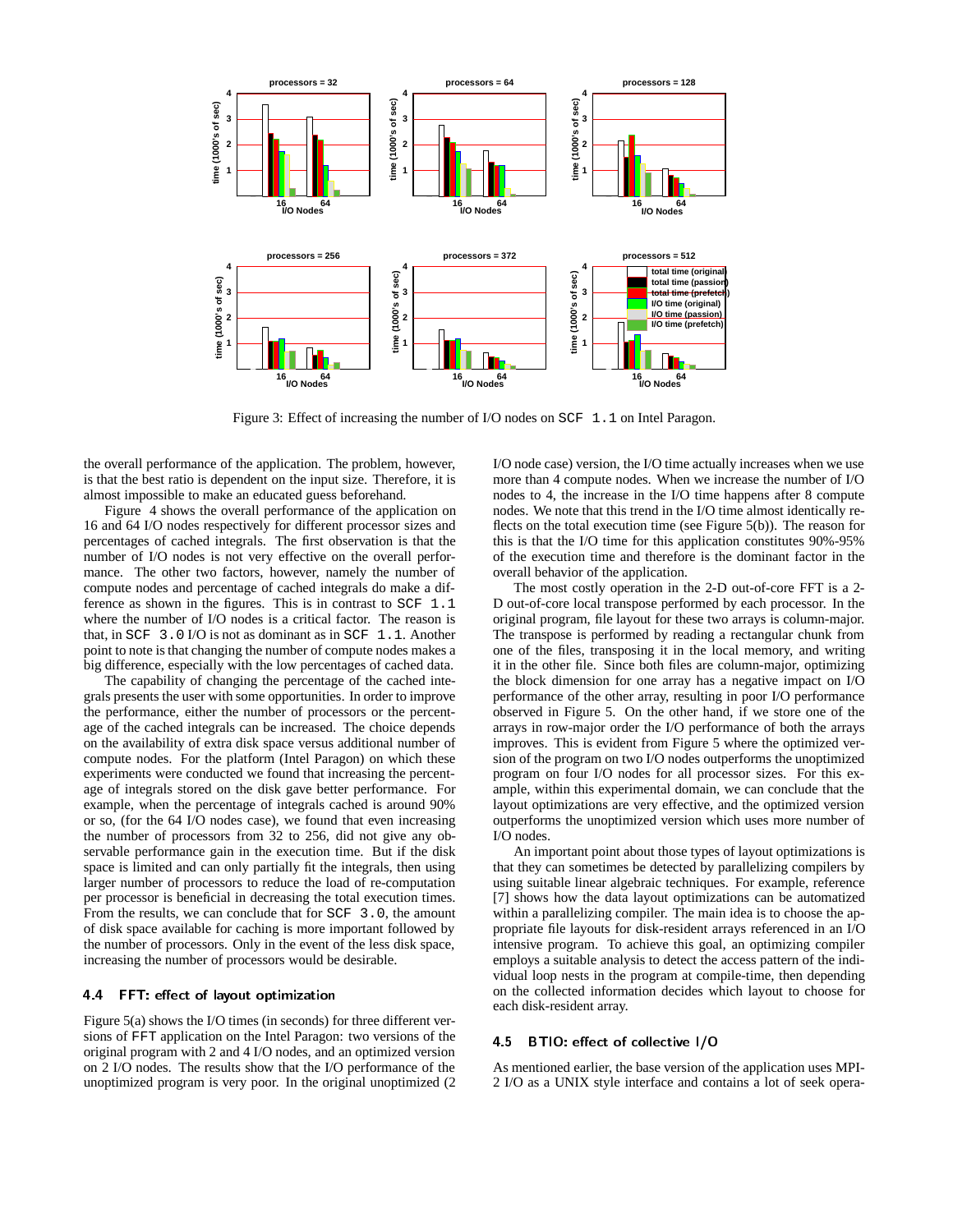

Figure 3: Effect of increasing the number of I/O nodes on SCF 1.1 on Intel Paragon.

the overall performance of the application. The problem, however, is that the best ratio is dependent on the input size. Therefore, it is almost impossible to make an educated guess beforehand.

Figure 4 shows the overall performance of the application on 16 and 64 I/O nodes respectively for different processor sizes and percentages of cached integrals. The first observation is that the number of I/O nodes is not very effective on the overall performance. The other two factors, however, namely the number of compute nodes and percentage of cached integrals do make a difference as shown in the figures. This is in contrast to SCF 1.1 where the number of I/O nodes is a critical factor. The reason is that, in SCF 3.0 I/O is not as dominant as in SCF 1.1. Another point to note is that changing the number of compute nodes makes a big difference, especially with the low percentages of cached data.

The capability of changing the percentage of the cached integrals presents the user with some opportunities. In order to improve the performance, either the number of processors or the percentage of the cached integrals can be increased. The choice depends on the availability of extra disk space versus additional number of compute nodes. For the platform (Intel Paragon) on which these experiments were conducted we found that increasing the percentage of integrals stored on the disk gave better performance. For example, when the percentage of integrals cached is around 90% or so, (for the 64 I/O nodes case), we found that even increasing the number of processors from 32 to 256, did not give any observable performance gain in the execution time. But if the disk space is limited and can only partially fit the integrals, then using larger number of processors to reduce the load of re-computation per processor is beneficial in decreasing the total execution times. From the results, we can conclude that for SCF 3.0, the amount of disk space available for caching is more important followed by the number of processors. Only in the event of the less disk space, increasing the number of processors would be desirable.

# 4.4 FFT: effect of layout optimization

Figure 5(a) shows the I/O times (in seconds) for three different versions of FFT application on the Intel Paragon: two versions of the original program with 2 and 4 I/O nodes, and an optimized version on 2 I/O nodes. The results show that the I/O performance of the unoptimized program is very poor. In the original unoptimized (2 I/O node case) version, the I/O time actually increases when we use more than 4 compute nodes. When we increase the number of I/O nodes to 4, the increase in the I/O time happens after 8 compute nodes. We note that this trend in the I/O time almost identically reflects on the total execution time (see Figure 5(b)). The reason for this is that the I/O time for this application constitutes 90%-95% of the execution time and therefore is the dominant factor in the overall behavior of the application.

The most costly operation in the 2-D out-of-core FFT is a 2- D out-of-core local transpose performed by each processor. In the original program, file layout for these two arrays is column-major. The transpose is performed by reading a rectangular chunk from one of the files, transposing it in the local memory, and writing it in the other file. Since both files are column-major, optimizing the block dimension for one array has a negative impact on I/O performance of the other array, resulting in poor I/O performance observed in Figure 5. On the other hand, if we store one of the arrays in row-major order the I/O performance of both the arrays improves. This is evident from Figure 5 where the optimized version of the program on two I/O nodes outperforms the unoptimized program on four I/O nodes for all processor sizes. For this example, within this experimental domain, we can conclude that the layout optimizations are very effective, and the optimized version outperforms the unoptimized version which uses more number of I/O nodes.

An important point about those types of layout optimizations is that they can sometimes be detected by parallelizing compilers by using suitable linear algebraic techniques. For example, reference [7] shows how the data layout optimizations can be automatized within a parallelizing compiler. The main idea is to choose the appropriate file layouts for disk-resident arrays referenced in an I/O intensive program. To achieve this goal, an optimizing compiler employs a suitable analysis to detect the access pattern of the individual loop nests in the program at compile-time, then depending on the collected information decides which layout to choose for each disk-resident array.

### 4.5 BTIO: effect of collective I/O

As mentioned earlier, the base version of the application uses MPI-2 I/O as a UNIX style interface and contains a lot of seek opera-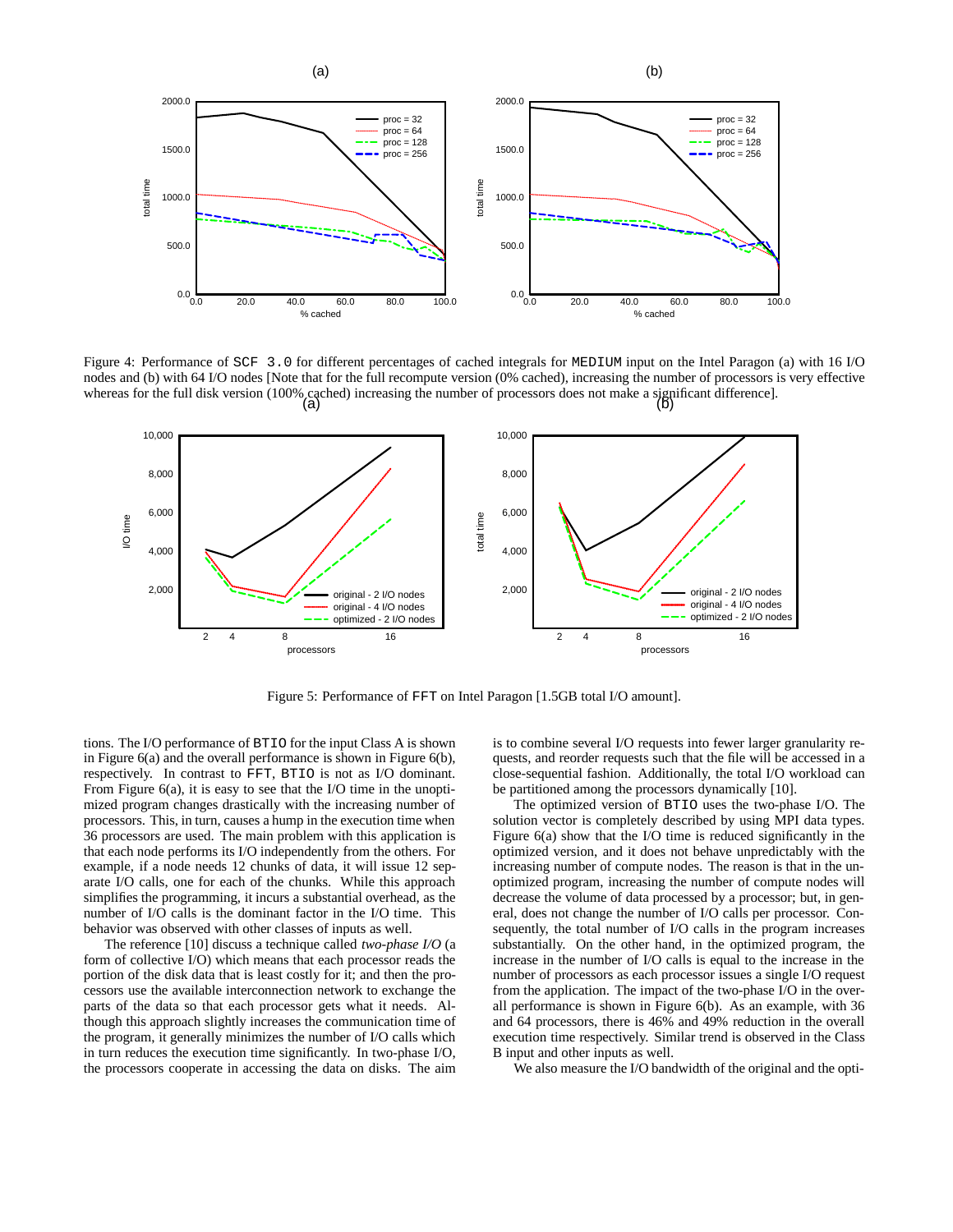

Figure 4: Performance of SCF 3.0 for different percentages of cached integrals for MEDIUM input on the Intel Paragon (a) with 16 I/O nodes and (b) with 64 I/O nodes [Note that for the full recompute version (0% cached), increasing the number of processors is very effective whereas for the full disk version (100% cached) increasing the number of processors does not make a significant difference].<br>(5)



Figure 5: Performance of FFT on Intel Paragon [1.5GB total I/O amount].

tions. The I/O performance of BTIO for the input Class A is shown in Figure 6(a) and the overall performance is shown in Figure 6(b), respectively. In contrast to FFT, BTIO is not as I/O dominant. From Figure 6(a), it is easy to see that the I/O time in the unoptimized program changes drastically with the increasing number of processors. This, in turn, causes a hump in the execution time when 36 processors are used. The main problem with this application is that each node performs its I/O independently from the others. For example, if a node needs 12 chunks of data, it will issue 12 separate I/O calls, one for each of the chunks. While this approach simplifies the programming, it incurs a substantial overhead, as the number of I/O calls is the dominant factor in the I/O time. This behavior was observed with other classes of inputs as well.

The reference [10] discuss a technique called *two-phase I/O* (a form of collective I/O) which means that each processor reads the portion of the disk data that is least costly for it; and then the processors use the available interconnection network to exchange the parts of the data so that each processor gets what it needs. Although this approach slightly increases the communication time of the program, it generally minimizes the number of I/O calls which in turn reduces the execution time significantly. In two-phase I/O, the processors cooperate in accessing the data on disks. The aim is to combine several I/O requests into fewer larger granularity requests, and reorder requests such that the file will be accessed in a close-sequential fashion. Additionally, the total I/O workload can be partitioned among the processors dynamically [10].

The optimized version of BTIO uses the two-phase I/O. The solution vector is completely described by using MPI data types. Figure 6(a) show that the I/O time is reduced significantly in the optimized version, and it does not behave unpredictably with the increasing number of compute nodes. The reason is that in the unoptimized program, increasing the number of compute nodes will decrease the volume of data processed by a processor; but, in general, does not change the number of I/O calls per processor. Consequently, the total number of I/O calls in the program increases substantially. On the other hand, in the optimized program, the increase in the number of I/O calls is equal to the increase in the number of processors as each processor issues a single I/O request from the application. The impact of the two-phase I/O in the overall performance is shown in Figure 6(b). As an example, with 36 and 64 processors, there is 46% and 49% reduction in the overall execution time respectively. Similar trend is observed in the Class B input and other inputs as well.

We also measure the I/O bandwidth of the original and the opti-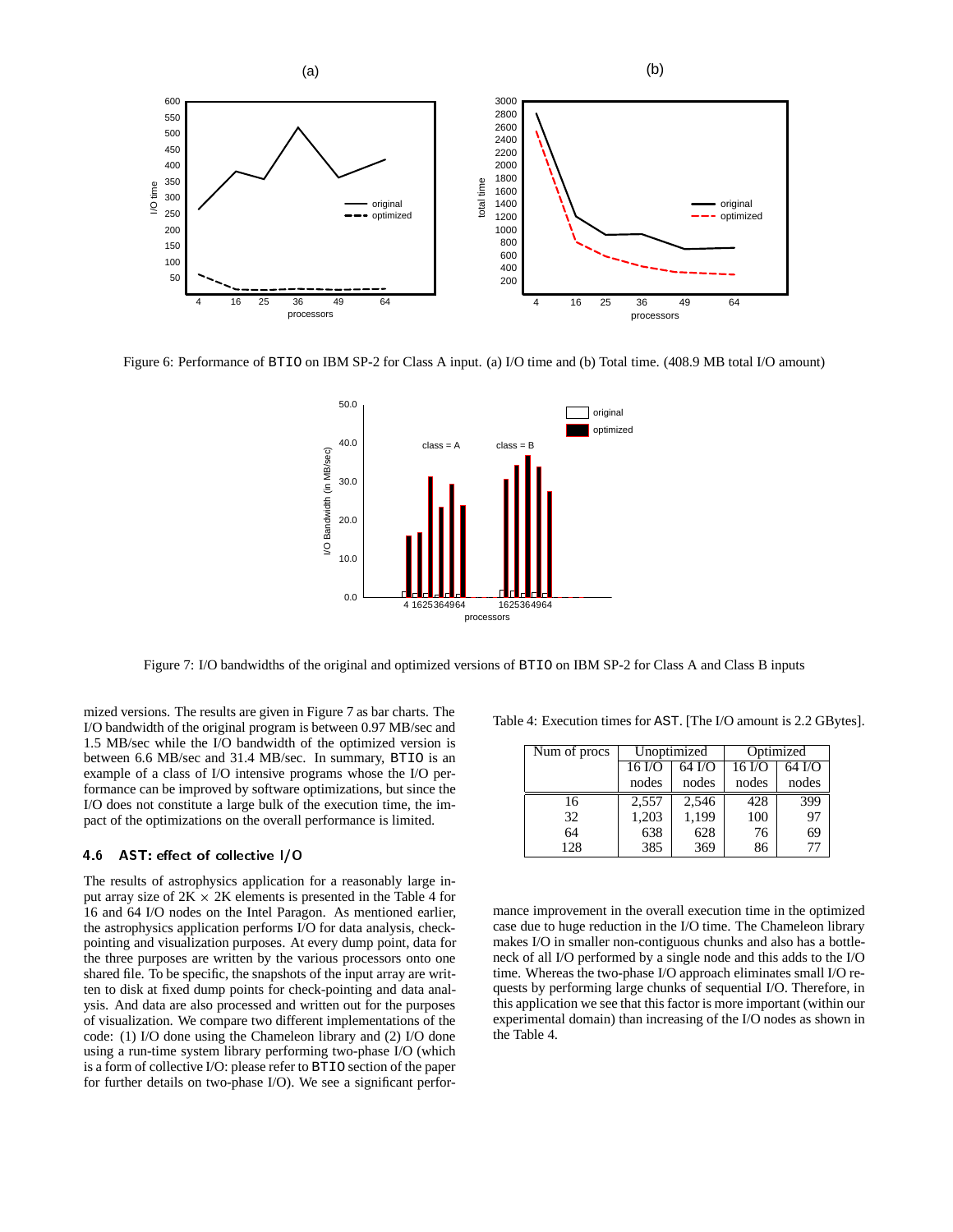

Figure 6: Performance of BTIO on IBM SP-2 for Class A input. (a) I/O time and (b) Total time. (408.9 MB total I/O amount)



Figure 7: I/O bandwidths of the original and optimized versions of BTIO on IBM SP-2 for Class A and Class B inputs

mized versions. The results are given in Figure 7 as bar charts. The I/O bandwidth of the original program is between 0.97 MB/sec and 1.5 MB/sec while the I/O bandwidth of the optimized version is between 6.6 MB/sec and 31.4 MB/sec. In summary, BTIO is an example of a class of I/O intensive programs whose the I/O performance can be improved by software optimizations, but since the I/O does not constitute a large bulk of the execution time, the impact of the optimizations on the overall performance is limited.

### 4.6 AST: effect of collective I/O

The results of astrophysics application for a reasonably large input array size of  $2K \times 2K$  elements is presented in the Table 4 for 16 and 64 I/O nodes on the Intel Paragon. As mentioned earlier, the astrophysics application performs I/O for data analysis, checkpointing and visualization purposes. At every dump point, data for the three purposes are written by the various processors onto one shared file. To be specific, the snapshots of the input array are written to disk at fixed dump points for check-pointing and data analysis. And data are also processed and written out for the purposes of visualization. We compare two different implementations of the code: (1) I/O done using the Chameleon library and (2) I/O done using a run-time system library performing two-phase I/O (which is a form of collective I/O: please refer to BTIO section of the paper for further details on two-phase I/O). We see a significant perfor-

| Num of procs |        | Unoptimized | Optimized |        |  |  |
|--------------|--------|-------------|-----------|--------|--|--|
|              | 16 I/O | 64 I/O      | 16 I/O    | 64 I/O |  |  |
|              | nodes  | nodes       | nodes     | nodes  |  |  |
| 16           | 2,557  | 2,546       | 428       | 399    |  |  |
| 32           | 1,203  | 1,199       | 100       | 97     |  |  |
| 64           | 638    | 628         | 76        | 69     |  |  |
| 128          | 385    | 369         | 86        |        |  |  |

mance improvement in the overall execution time in the optimized case due to huge reduction in the I/O time. The Chameleon library makes I/O in smaller non-contiguous chunks and also has a bottleneck of all I/O performed by a single node and this adds to the I/O time. Whereas the two-phase I/O approach eliminates small I/O requests by performing large chunks of sequential I/O. Therefore, in this application we see that this factor is more important (within our experimental domain) than increasing of the I/O nodes as shown in the Table 4.